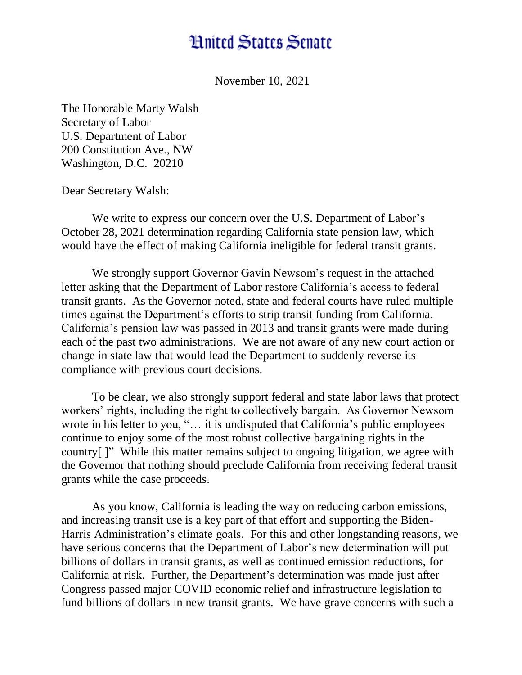## **Hnited States Senate**

November 10, 2021

The Honorable Marty Walsh Secretary of Labor U.S. Department of Labor 200 Constitution Ave., NW Washington, D.C. 20210

Dear Secretary Walsh:

We write to express our concern over the U.S. Department of Labor's October 28, 2021 determination regarding California state pension law, which would have the effect of making California ineligible for federal transit grants.

We strongly support Governor Gavin Newsom's request in the attached letter asking that the Department of Labor restore California's access to federal transit grants. As the Governor noted, state and federal courts have ruled multiple times against the Department's efforts to strip transit funding from California. California's pension law was passed in 2013 and transit grants were made during each of the past two administrations. We are not aware of any new court action or change in state law that would lead the Department to suddenly reverse its compliance with previous court decisions.

To be clear, we also strongly support federal and state labor laws that protect workers' rights, including the right to collectively bargain. As Governor Newsom wrote in his letter to you, "… it is undisputed that California's public employees continue to enjoy some of the most robust collective bargaining rights in the country[.]" While this matter remains subject to ongoing litigation, we agree with the Governor that nothing should preclude California from receiving federal transit grants while the case proceeds.

As you know, California is leading the way on reducing carbon emissions, and increasing transit use is a key part of that effort and supporting the Biden-Harris Administration's climate goals. For this and other longstanding reasons, we have serious concerns that the Department of Labor's new determination will put billions of dollars in transit grants, as well as continued emission reductions, for California at risk. Further, the Department's determination was made just after Congress passed major COVID economic relief and infrastructure legislation to fund billions of dollars in new transit grants. We have grave concerns with such a